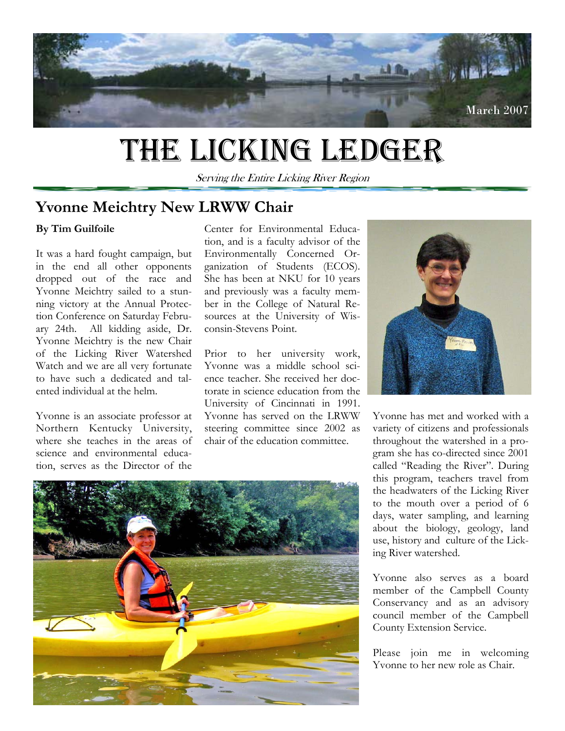

# THE LICKING LEDGER

Serving the Entire Licking River Region

## **Yvonne Meichtry New LRWW Chair**

## **By Tim Guilfoile**

It was a hard fought campaign, but in the end all other opponents dropped out of the race and Yvonne Meichtry sailed to a stunning victory at the Annual Protection Conference on Saturday February 24th. All kidding aside, Dr. Yvonne Meichtry is the new Chair of the Licking River Watershed Watch and we are all very fortunate to have such a dedicated and talented individual at the helm.

Yvonne is an associate professor at Northern Kentucky University, where she teaches in the areas of science and environmental education, serves as the Director of the

Center for Environmental Education, and is a faculty advisor of the Environmentally Concerned Organization of Students (ECOS). She has been at NKU for 10 years and previously was a faculty member in the College of Natural Resources at the University of Wisconsin-Stevens Point.

Prior to her university work, Yvonne was a middle school science teacher. She received her doctorate in science education from the University of Cincinnati in 1991. Yvonne has served on the LRWW steering committee since 2002 as chair of the education committee.



Yvonne has met and worked with a variety of citizens and professionals throughout the watershed in a program she has co-directed since 2001 called "Reading the River". During this program, teachers travel from the headwaters of the Licking River to the mouth over a period of 6 days, water sampling, and learning about the biology, geology, land use, history and culture of the Licking River watershed.

Yvonne also serves as a board member of the Campbell County Conservancy and as an advisory council member of the Campbell County Extension Service.

Please join me in welcoming Yvonne to her new role as Chair.

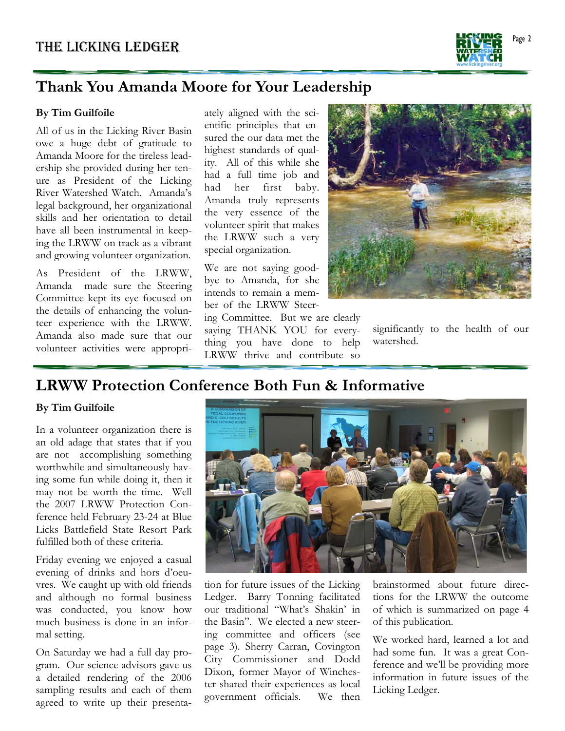

# **Thank You Amanda Moore for Your Leadership**

### **By Tim Guilfoile**

All of us in the Licking River Basin owe a huge debt of gratitude to Amanda Moore for the tireless leadership she provided during her tenure as President of the Licking River Watershed Watch. Amanda's legal background, her organizational skills and her orientation to detail have all been instrumental in keeping the LRWW on track as a vibrant and growing volunteer organization.

As President of the LRWW, Amanda made sure the Steering Committee kept its eye focused on the details of enhancing the volunteer experience with the LRWW. Amanda also made sure that our volunteer activities were appropri-

ately aligned with the scientific principles that ensured the our data met the highest standards of quality. All of this while she had a full time job and had her first baby. Amanda truly represents the very essence of the volunteer spirit that makes the LRWW such a very special organization.

We are not saying goodbye to Amanda, for she intends to remain a member of the LRWW Steer-

ing Committee. But we are clearly saying THANK YOU for everything you have done to help LRWW thrive and contribute so



significantly to the health of our watershed.

## **LRWW Protection Conference Both Fun & Informative**

#### **By Tim Guilfoile**

In a volunteer organization there is an old adage that states that if you are not accomplishing something worthwhile and simultaneously having some fun while doing it, then it may not be worth the time. Well the 2007 LRWW Protection Conference held February 23-24 at Blue Licks Battlefield State Resort Park fulfilled both of these criteria.

Friday evening we enjoyed a casual evening of drinks and hors d'oeuvres. We caught up with old friends and although no formal business was conducted, you know how much business is done in an informal setting.

On Saturday we had a full day program. Our science advisors gave us a detailed rendering of the 2006 sampling results and each of them agreed to write up their presenta-



 government officials. We then tion for future issues of the Licking Ledger. Barry Tonning facilitated our traditional "What's Shakin' in the Basin". We elected a new steering committee and officers (see page 3). Sherry Carran, Covington City Commissioner and Dodd Dixon, former Mayor of Winchester shared their experiences as local

brainstormed about future directions for the LRWW the outcome of which is summarized on page 4 of this publication.

We worked hard, learned a lot and had some fun. It was a great Conference and we'll be providing more information in future issues of the Licking Ledger.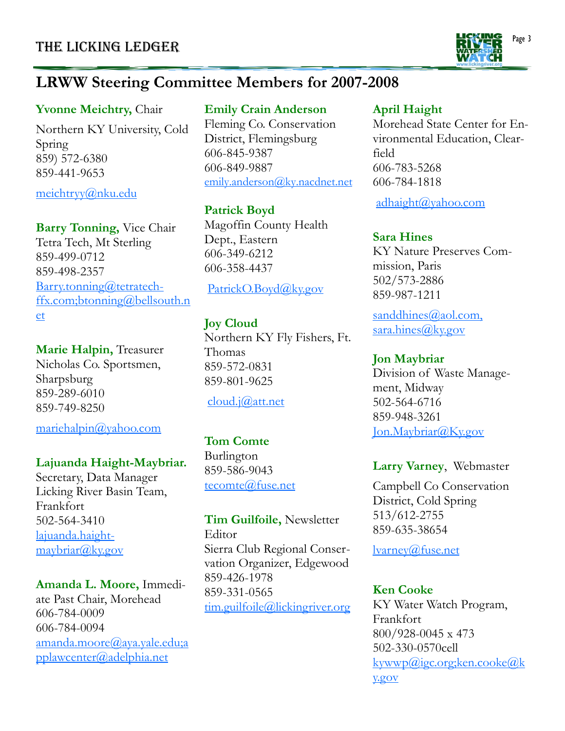

# **LRWW Steering Committee Members for 2007-2008**

## **Yvonne Meichtry,** Chair

Northern KY University, Cold Spring 859) 572-6380 859-441-9653

meichtryy@nku.edu

**Barry Tonning,** Vice Chair Tetra Tech, Mt Sterling 859-499-0712 859-498-2357 Barry.tonning@tetratechffx.com;btonning@bellsouth.n et

**Marie Halpin,** Treasurer Nicholas Co. Sportsmen, Sharpsburg

859-289-6010 859-749-8250

mariehalpin@yahoo.com

## **Lajuanda Haight-Maybriar.**

Secretary, Data Manager Licking River Basin Team, Frankfort 502-564-3410 lajuanda.haightmaybriar@ky.gov

**Amanda L. Moore,** Immediate Past Chair, Morehead 606-784-0009 606-784-0094 amanda.moore@aya.yale.edu;a pplawcenter@adelphia.net

## **Emily Crain Anderson**

Fleming Co. Conservation District, Flemingsburg 606-845-9387 606-849-9887 emily.anderson@ky.nacdnet.net

## **Patrick Boyd**

Magoffin County Health Dept., Eastern 606-349-6212 606-358-4437

## PatrickO.Boyd@ky.gov

## **Joy Cloud**

Northern KY Fly Fishers, Ft. Thomas 859-572-0831 859-801-9625

## cloud.j@att.net

## **Tom Comte**

Burlington 859-586-9043 tecomte@fuse.net

**Tim Guilfoile,** Newsletter Editor Sierra Club Regional Conservation Organizer, Edgewood 859-426-1978 859-331-0565 tim.guilfoile@lickingriver.org

## **April Haight**

Morehead State Center for Environmental Education, Clearfield 606-783-5268 606-784-1818

adhaight@yahoo.com

## **Sara Hines**

KY Nature Preserves Commission, Paris 502/573-2886 859-987-1211

sanddhines@aol.com, sara.hines@ky.gov

## **Jon Maybriar**

Division of Waste Management, Midway 502-564-6716 859-948-3261 Jon.Maybriar@Ky.gov

## **Larry Varney**, Webmaster

Campbell Co Conservation District, Cold Spring 513/612-2755 859-635-38654

lvarney@fuse.net

## **Ken Cooke**

KY Water Watch Program, Frankfort 800/928-0045 x 473 502-330-0570cell  $k$ ywwp $\omega$ igc.org;ken.cooke $\omega$ k y.gov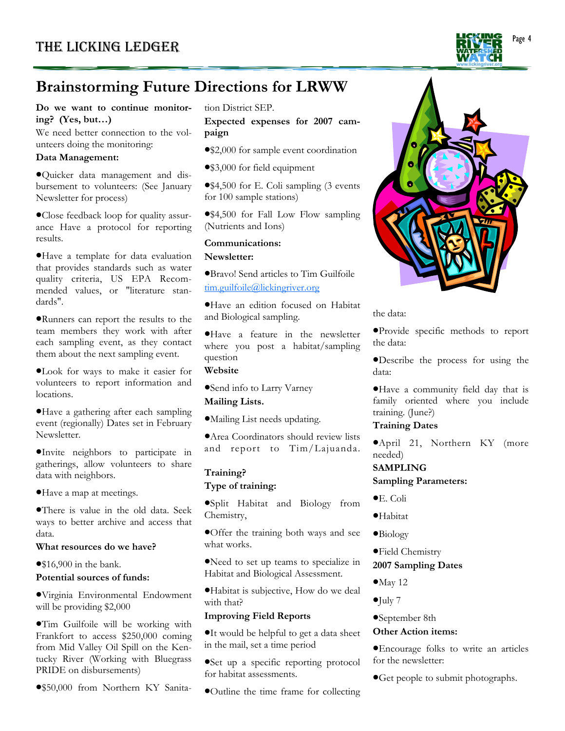

# **Brainstorming Future Directions for LRWW**

#### **Do we want to continue monitoring? (Yes, but…)**

We need better connection to the volunteers doing the monitoring:

#### **Data Management:**

•Quicker data management and disbursement to volunteers: (See January Newsletter for process)

•Close feedback loop for quality assurance Have a protocol for reporting results.

•Have a template for data evaluation that provides standards such as water quality criteria, US EPA Recommended values, or "literature standards".

•Runners can report the results to the team members they work with after each sampling event, as they contact them about the next sampling event.

•Look for ways to make it easier for volunteers to report information and locations.

•Have a gathering after each sampling event (regionally) Dates set in February Newsletter.

•Invite neighbors to participate in gatherings, allow volunteers to share data with neighbors.

•Have a map at meetings.

•There is value in the old data. Seek ways to better archive and access that data.

#### **What resources do we have?**

•\$16,900 in the bank.

#### **Potential sources of funds:**

•Virginia Environmental Endowment will be providing \$2,000

•Tim Guilfoile will be working with Frankfort to access \$250,000 coming from Mid Valley Oil Spill on the Kentucky River (Working with Bluegrass PRIDE on disbursements)

•\$50,000 from Northern KY Sanita-

tion District SEP.

**Expected expenses for 2007 campaign**

- •\$2,000 for sample event coordination
- •\$3,000 for field equipment

•\$4,500 for E. Coli sampling (3 events for 100 sample stations)

•\$4,500 for Fall Low Flow sampling (Nutrients and Ions)

#### **Communications:**

**Newsletter:** 

•Bravo! Send articles to Tim Guilfoile tim.guilfoile@lickingriver.org

•Have an edition focused on Habitat and Biological sampling.

•Have a feature in the newsletter where you post a habitat/sampling question

### **Website**

•Send info to Larry Varney **Mailing Lists.** 

•Mailing List needs updating.

•Area Coordinators should review lists and report to Tim/Lajuanda.

#### **Training?**

#### **Type of training:**

•Split Habitat and Biology from Chemistry,

•Offer the training both ways and see what works.

•Need to set up teams to specialize in Habitat and Biological Assessment.

•Habitat is subjective, How do we deal with that?

#### **Improving Field Reports**

•It would be helpful to get a data sheet in the mail, set a time period

•Set up a specific reporting protocol for habitat assessments.

•Outline the time frame for collecting



#### the data:

•Provide specific methods to report the data:

•Describe the process for using the data:

•Have a community field day that is family oriented where you include training. (June?)

#### **Training Dates**

•April 21, Northern KY (more needed)

#### **SAMPLING**

**Sampling Parameters:** 

- •E. Coli
- •Habitat
- •Biology
- •Field Chemistry

#### **2007 Sampling Dates**

- $•$ May 12
- •July 7
- •September 8th

#### **Other Action items:**

•Encourage folks to write an articles for the newsletter:

•Get people to submit photographs.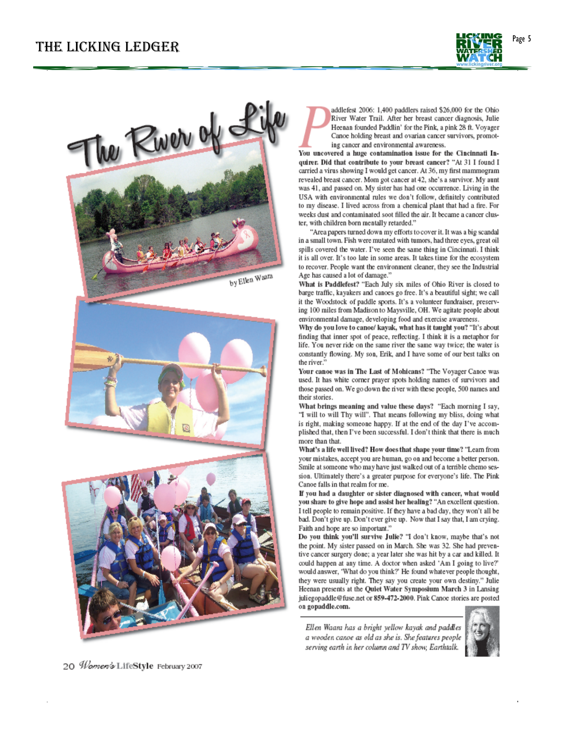



addlefest 2006: 1,400 paddlers raised \$26,000 for the Ohio River Water Trail. After her breast cancer diagnosis, Julie Heenan founded Paddlin' for the Pink, a pink 28 ft. Voyager Cance holding breast and ovarian cancer survivors, promoting cancer and environmental awareness.

You uncovered a huge contamination issue for the Cincinnati Inquirer. Did that contribute to your breast cancer? "At 31 I found I carried a virus showing I would get cancer. At 36, my first mammogram revealed breast cancer. Mom got cancer at 42, she's a survivor. My aunt was 41, and passed on. My sister has had one occurrence. Living in the USA with environmental rules we don't follow, definitely contributed to my disease. I lived across from a chemical plant that had a fire. For weeks dust and contaminated soot filled the air. It became a cancer cluster, with children born mentally retarded."

"Area papers turned down my efforts to cover it. It was a big scandal in a small town. Fish were mutated with tumors, had three eyes, great oil spills covered the water. I've seen the same thing in Cincinnati. I think it is all over. It's too late in some areas. It takes time for the ecosystem to recover. People want the environment cleaner, they see the Industrial Age has caused a lot of damage."

What is Paddlefest? "Each July six miles of Ohio River is closed to barge traffic, kayakers and cances go free. It's a beautiful sight; we call it the Woodstock of paddle sports. It's a volunteer fundraiser, preserving 100 miles from Madison to Maysville, OH. We agitate people about environmental damage, developing food and exercise awareness.

Why do you love to canoe/ kayak, what has it taught you? "It's about finding that inner spot of peace, reflecting. I think it is a metaphor for life. You never ride on the same river the same way twice; the water is constantly flowing. My son, Erik, and I have some of our best talks on the river."

Your canoe was in The Last of Mohicans? "The Voyager Canoe was used. It has white corner prayer spots holding names of survivors and those passed on. We go down the river with these people, 500 names and their stories.

What brings meaning and value these days? "Each morning I say, "I will to will Thy will". That means following my bliss, doing what is right, making someone happy. If at the end of the day I've accomplished that, then I've been successful. I don't think that there is much more than that.

What's a life well lived? How does that shape your time? "Leam from your mistakes, accept you are human, go on and become a better person. Smile at someone who may have just walked out of a terrible chemo session. Ultimately there's a greater purpose for everyone's life. The Pink Canoe falls in that realm for me.

If you had a daughter or sister diagnosed with cancer, what would you share to give hope and assist her healing? "An excellent question. I tell people to remain positive. If they have a bad day, they won't all be bad. Don't give up. Don't ever give up. Now that I say that, I am crying. Faith and hope are so important."

Do you think you'll survive Julie? "I don't know, maybe that's not the point. My sister passed on in March. She was 32. She had preventive cancer surgery done; a year later she was hit by a car and killed. It could happen at any time. A doctor when asked 'Am I going to live?' would answer, 'What do you think?' He found whatever people thought, they were usually right. They say you create your own destiny." Julie Heenan presents at the Quiet Water Symposium March 3 in Lansing juliegopaddle@fuse.net or 859-472-2000. Pink Canoe stories are posted on gopaddle.com.

Ellen Waara has a bright yellow kayak and paddles a wooden canoe as old as she is. She features people serving earth in her column and TV show, Earthtalk.



20 Women's LifeStyle February 2007